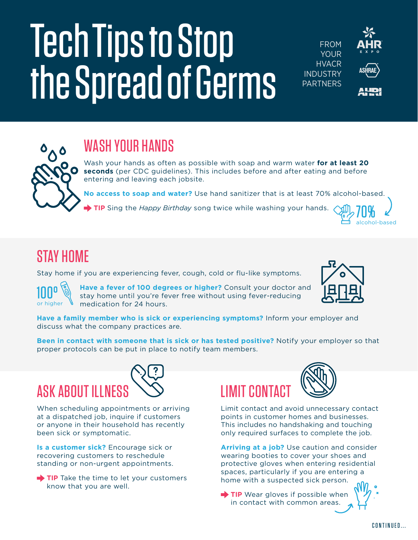# Tech Tips to Stop the Spread of Germs



## WASH YOUR HANDS

Wash your hands as often as possible with soap and warm water **for at least 20 seconds** (per CDC guidelines). This includes before and after eating and before entering and leaving each jobsite.

**No access to soap and water?** Use hand sanitizer that is at least 70% alcohol-based.

**TIP** Sing the *Happy Birthday* song twice while washing your hands.

#### STAY HOME

Stay home if you are experiencing fever, cough, cold or flu-like symptoms.



**Have a fever of 100 degrees or higher?** Consult your doctor and stay home until you're fever free without using fever-reducing medication for 24 hours.



70% alcohol-based

**Have a family member who is sick or experiencing symptoms?** Inform your employer and discuss what the company practices are.

**Been in contact with someone that is sick or has tested positive?** Notify your employer so that proper protocols can be put in place to notify team members.



When scheduling appointments or arriving at a dispatched job, inquire if customers or anyone in their household has recently been sick or symptomatic.

**Is a customer sick?** Encourage sick or recovering customers to reschedule standing or non-urgent appointments.

TIP Take the time to let your customers know that you are well.





Limit contact and avoid unnecessary contact points in customer homes and businesses. This includes no handshaking and touching only required surfaces to complete the job.

**Arriving at a job?** Use caution and consider wearing booties to cover your shoes and protective gloves when entering residential spaces, particularly if you are entering a home with a suspected sick person.

TIP Wear gloves if possible when in contact with common areas.